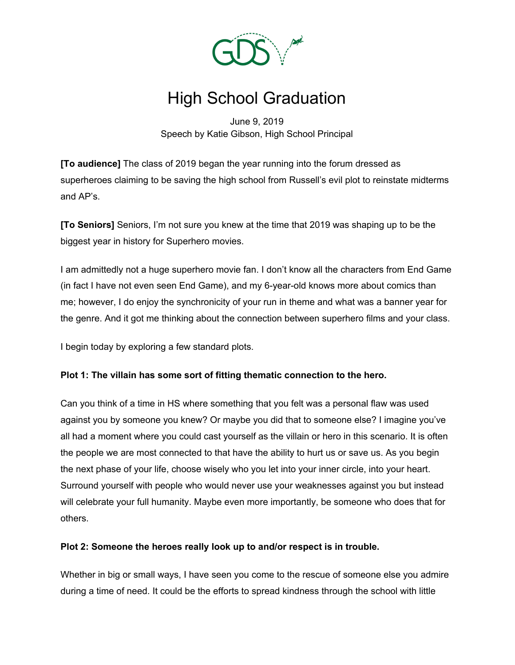

# High School Graduation

June 9, 2019 Speech by Katie Gibson, High School Principal

**[To audience]** The class of 2019 began the year running into the forum dressed as superheroes claiming to be saving the high school from Russell's evil plot to reinstate midterms and AP's.

**[To Seniors]** Seniors, I'm not sure you knew at the time that 2019 was shaping up to be the biggest year in history for Superhero movies.

I am admittedly not a huge superhero movie fan. I don't know all the characters from End Game (in fact I have not even seen End Game), and my 6-year-old knows more about comics than me; however, I do enjoy the synchronicity of your run in theme and what was a banner year for the genre. And it got me thinking about the connection between superhero films and your class.

I begin today by exploring a few standard plots.

# **Plot 1: The villain has some sort of fitting thematic connection to the hero.**

Can you think of a time in HS where something that you felt was a personal flaw was used against you by someone you knew? Or maybe you did that to someone else? I imagine you've all had a moment where you could cast yourself as the villain or hero in this scenario. It is often the people we are most connected to that have the ability to hurt us or save us. As you begin the next phase of your life, choose wisely who you let into your inner circle, into your heart. Surround yourself with people who would never use your weaknesses against you but instead will celebrate your full humanity. Maybe even more importantly, be someone who does that for others.

# **Plot 2: Someone the heroes really look up to and/or respect is in trouble.**

Whether in big or small ways, I have seen you come to the rescue of someone else you admire during a time of need. It could be the efforts to spread kindness through the school with little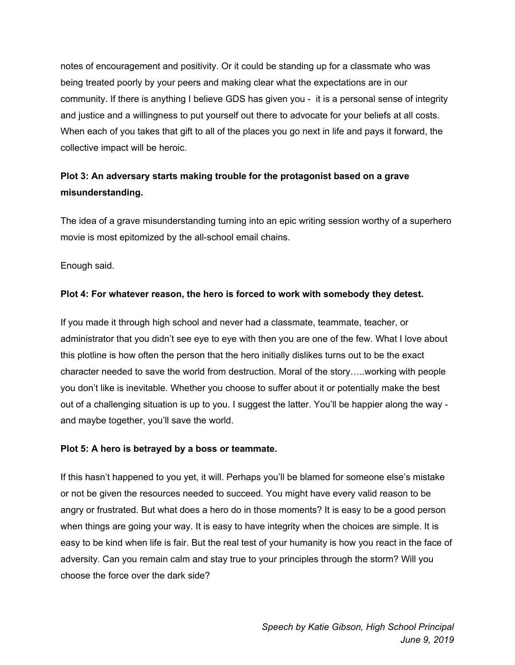notes of encouragement and positivity. Or it could be standing up for a classmate who was being treated poorly by your peers and making clear what the expectations are in our community. If there is anything I believe GDS has given you - it is a personal sense of integrity and justice and a willingness to put yourself out there to advocate for your beliefs at all costs. When each of you takes that gift to all of the places you go next in life and pays it forward, the collective impact will be heroic.

# **Plot 3: An adversary starts making trouble for the protagonist based on a grave misunderstanding.**

The idea of a grave misunderstanding turning into an epic writing session worthy of a superhero movie is most epitomized by the all-school email chains.

Enough said.

# **Plot 4: For whatever reason, the hero is forced to work with somebody they detest.**

If you made it through high school and never had a classmate, teammate, teacher, or administrator that you didn't see eye to eye with then you are one of the few. What I love about this plotline is how often the person that the hero initially dislikes turns out to be the exact character needed to save the world from destruction. Moral of the story…..working with people you don't like is inevitable. Whether you choose to suffer about it or potentially make the best out of a challenging situation is up to you. I suggest the latter. You'll be happier along the way and maybe together, you'll save the world.

# **Plot 5: A hero is betrayed by a boss or teammate.**

If this hasn't happened to you yet, it will. Perhaps you'll be blamed for someone else's mistake or not be given the resources needed to succeed. You might have every valid reason to be angry or frustrated. But what does a hero do in those moments? It is easy to be a good person when things are going your way. It is easy to have integrity when the choices are simple. It is easy to be kind when life is fair. But the real test of your humanity is how you react in the face of adversity. Can you remain calm and stay true to your principles through the storm? Will you choose the force over the dark side?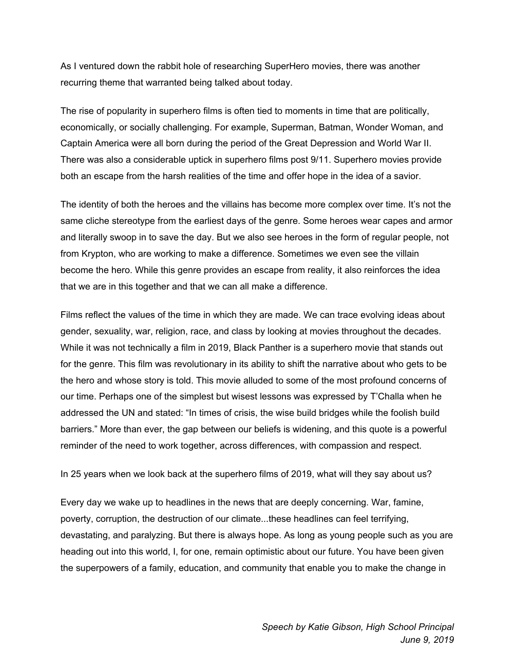As I ventured down the rabbit hole of researching SuperHero movies, there was another recurring theme that warranted being talked about today.

The rise of popularity in superhero films is often tied to moments in time that are politically, economically, or socially challenging. For example, Superman, Batman, Wonder Woman, and Captain America were all born during the period of the Great Depression and World War II. There was also a considerable uptick in superhero films post 9/11. Superhero movies provide both an escape from the harsh realities of the time and offer hope in the idea of a savior.

The identity of both the heroes and the villains has become more complex over time. It's not the same cliche stereotype from the earliest days of the genre. Some heroes wear capes and armor and literally swoop in to save the day. But we also see heroes in the form of regular people, not from Krypton, who are working to make a difference. Sometimes we even see the villain become the hero. While this genre provides an escape from reality, it also reinforces the idea that we are in this together and that we can all make a difference.

Films reflect the values of the time in which they are made. We can trace evolving ideas about gender, sexuality, war, religion, race, and class by looking at movies throughout the decades. While it was not technically a film in 2019, Black Panther is a superhero movie that stands out for the genre. This film was revolutionary in its ability to shift the narrative about who gets to be the hero and whose story is told. This movie alluded to some of the most profound concerns of our time. Perhaps one of the simplest but wisest lessons was expressed by T'Challa when he addressed the UN and stated: "In times of crisis, the wise build bridges while the foolish build barriers." More than ever, the gap between our beliefs is widening, and this quote is a powerful reminder of the need to work together, across differences, with compassion and respect.

In 25 years when we look back at the superhero films of 2019, what will they say about us?

Every day we wake up to headlines in the news that are deeply concerning. War, famine, poverty, corruption, the destruction of our climate...these headlines can feel terrifying, devastating, and paralyzing. But there is always hope. As long as young people such as you are heading out into this world, I, for one, remain optimistic about our future. You have been given the superpowers of a family, education, and community that enable you to make the change in